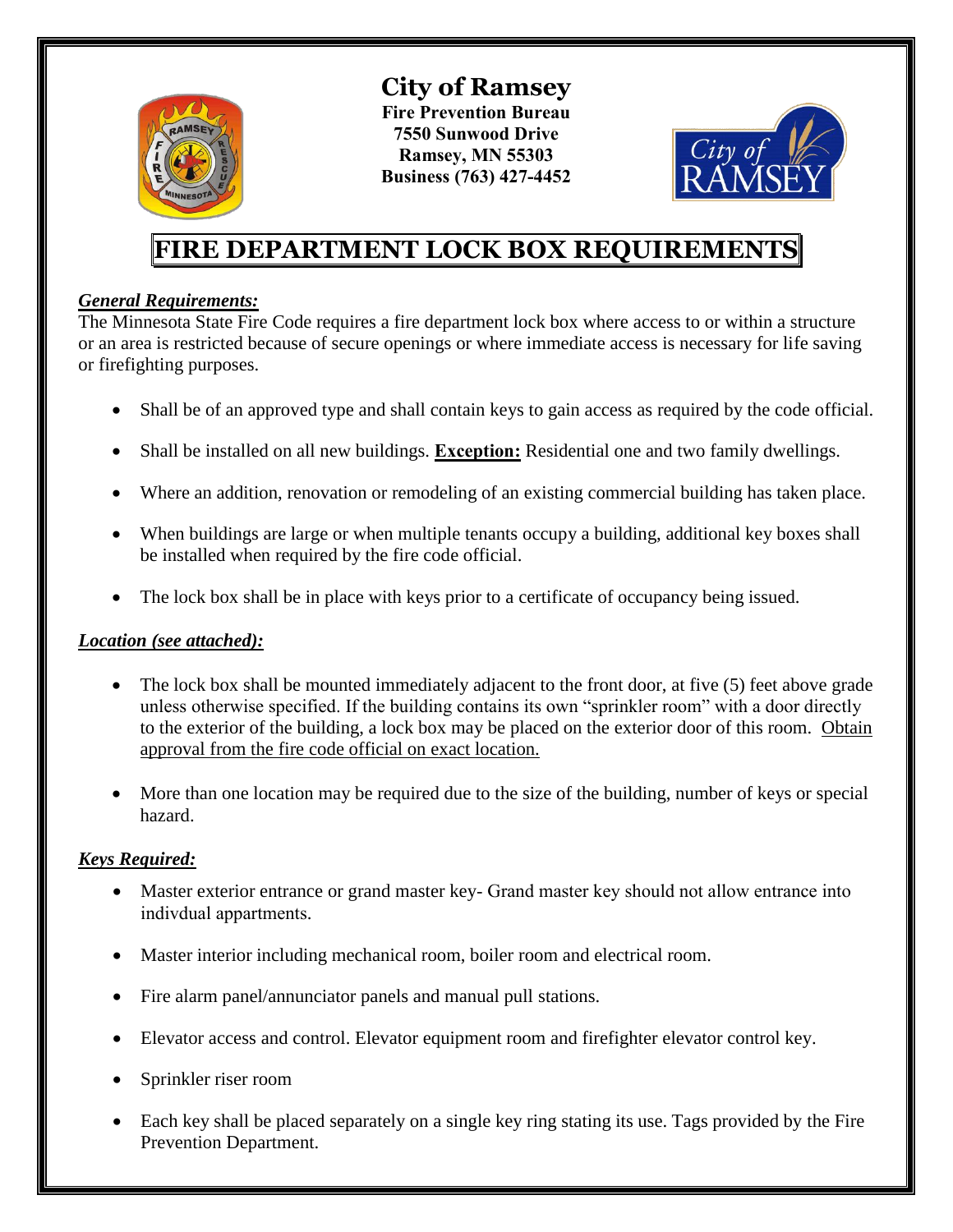

**City of Ramsey Fire Prevention Bureau 7550 Sunwood Drive Ramsey, MN 55303 Business (763) 427-4452** 



# **FIRE DEPARTMENT LOCK BOX REQUIREMENTS**

## *General Requirements:*

The Minnesota State Fire Code requires a fire department lock box where access to or within a structure or an area is restricted because of secure openings or where immediate access is necessary for life saving or firefighting purposes.

- Shall be of an approved type and shall contain keys to gain access as required by the code official.
- Shall be installed on all new buildings. **Exception:** Residential one and two family dwellings.
- Where an addition, renovation or remodeling of an existing commercial building has taken place.
- When buildings are large or when multiple tenants occupy a building, additional key boxes shall be installed when required by the fire code official.
- The lock box shall be in place with keys prior to a certificate of occupancy being issued.

## *Location (see attached):*

- The lock box shall be mounted immediately adjacent to the front door, at five (5) feet above grade unless otherwise specified. If the building contains its own "sprinkler room" with a door directly to the exterior of the building, a lock box may be placed on the exterior door of this room. Obtain approval from the fire code official on exact location.
- More than one location may be required due to the size of the building, number of keys or special hazard.

## *Keys Required:*

- Master exterior entrance or grand master key- Grand master key should not allow entrance into indivdual appartments.
- Master interior including mechanical room, boiler room and electrical room.
- Fire alarm panel/annunciator panels and manual pull stations.
- Elevator access and control. Elevator equipment room and firefighter elevator control key.
- Sprinkler riser room
- Each key shall be placed separately on a single key ring stating its use. Tags provided by the Fire Prevention Department.